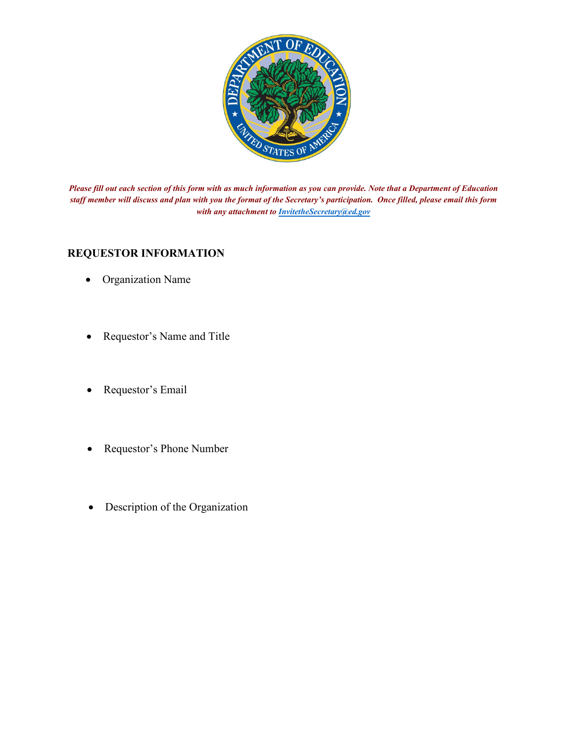

*Please fill out each section of this form with as much information as you can provide. Note that a Department of Education staff member will discuss and plan with you the format of the Secretary's participation. Once filled, please email this form with any attachment to [InvitetheSecretary@ed.gov](mailto:InvitetheSecretary@ed.gov)* 

#### **REQUESTOR INFORMATION**

- Organization Name
- Requestor's Name and Title
- Requestor's Email
- Requestor's Phone Number
- Description of the Organization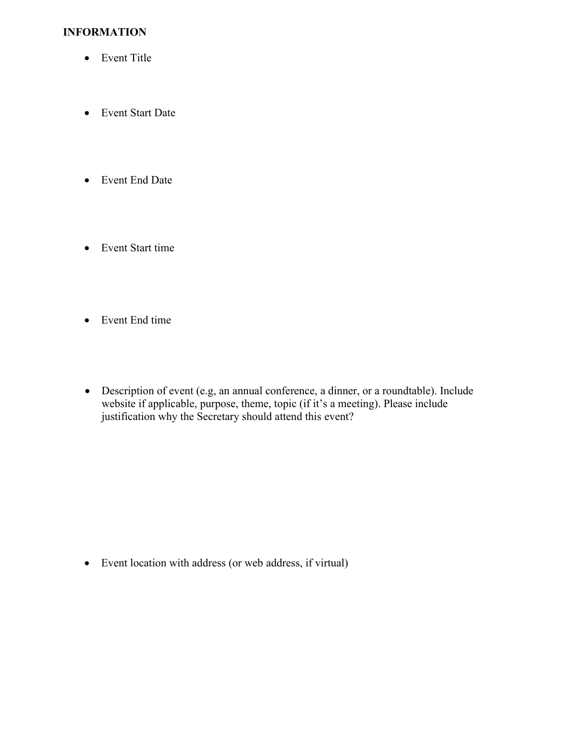## **INFORMATION**

- Event Title
- Event Start Date
- Event End Date
- Event Start time
- Event End time
- Description of event (e.g, an annual conference, a dinner, or a roundtable). Include website if applicable, purpose, theme, topic (if it's a meeting). Please include justification why the Secretary should attend this event?

• Event location with address (or web address, if virtual)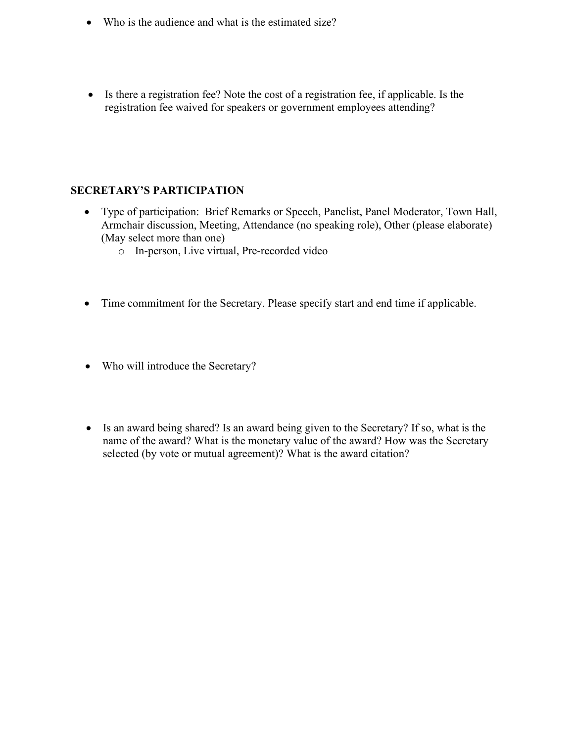- Who is the audience and what is the estimated size?
- Is there a registration fee? Note the cost of a registration fee, if applicable. Is the registration fee waived for speakers or government employees attending?

## **SECRETARY'S PARTICIPATION**

- Type of participation: Brief Remarks or Speech, Panelist, Panel Moderator, Town Hall, Armchair discussion, Meeting, Attendance (no speaking role), Other (please elaborate) (May select more than one)
	- o In-person, Live virtual, Pre-recorded video
- Time commitment for the Secretary. Please specify start and end time if applicable.
- Who will introduce the Secretary?
- Is an award being shared? Is an award being given to the Secretary? If so, what is the name of the award? What is the monetary value of the award? How was the Secretary selected (by vote or mutual agreement)? What is the award citation?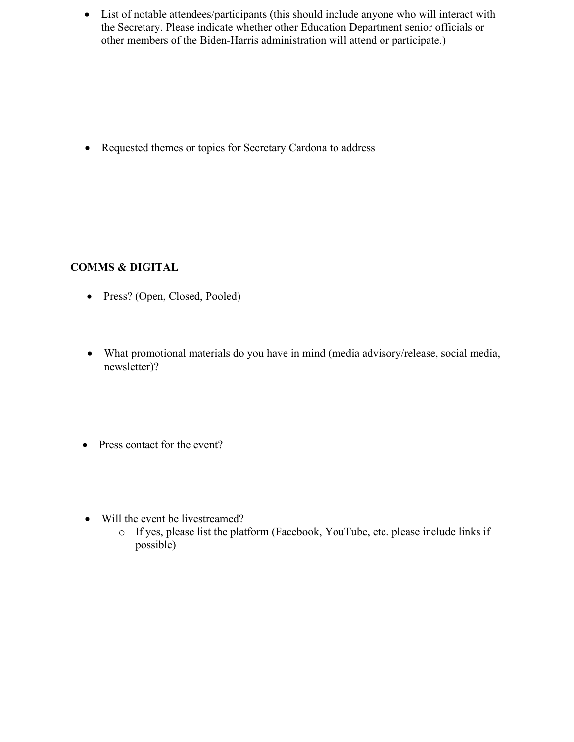• List of notable attendees/participants (this should include anyone who will interact with the Secretary. Please indicate whether other Education Department senior officials or other members of the Biden-Harris administration will attend or participate.)

• Requested themes or topics for Secretary Cardona to address

# **COMMS & DIGITAL**

- Press? (Open, Closed, Pooled)
- What promotional materials do you have in mind (media advisory/release, social media, newsletter)?
- Press contact for the event?
- Will the event be livestreamed?
	- o If yes, please list the platform (Facebook, YouTube, etc. please include links if possible)